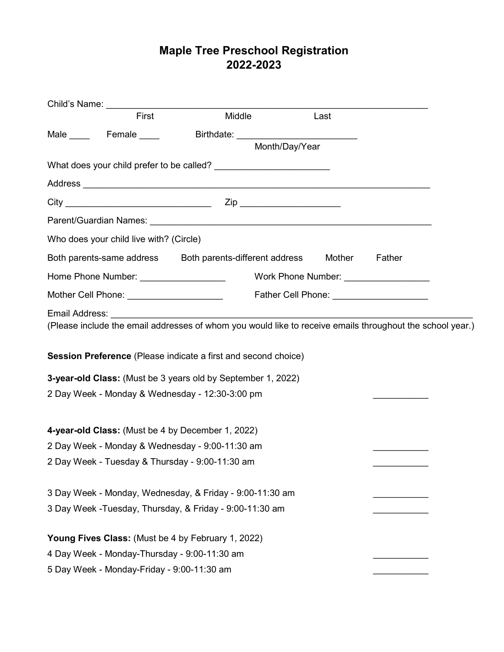# Maple Tree Preschool Registration 2022-2023

|                                                                                                                      | Child's Name: University of the University of the University of the University of the University of the University of the University of the University of the University of the University of the University of the University |                                                                                                                                                                                                                                      |                |        |  |  |  |
|----------------------------------------------------------------------------------------------------------------------|--------------------------------------------------------------------------------------------------------------------------------------------------------------------------------------------------------------------------------|--------------------------------------------------------------------------------------------------------------------------------------------------------------------------------------------------------------------------------------|----------------|--------|--|--|--|
|                                                                                                                      | First                                                                                                                                                                                                                          | Middle                                                                                                                                                                                                                               | Last           |        |  |  |  |
|                                                                                                                      | Male <u>______</u> Female _____                                                                                                                                                                                                | Birthdate: ____________________________                                                                                                                                                                                              |                |        |  |  |  |
|                                                                                                                      |                                                                                                                                                                                                                                |                                                                                                                                                                                                                                      | Month/Day/Year |        |  |  |  |
|                                                                                                                      |                                                                                                                                                                                                                                |                                                                                                                                                                                                                                      |                |        |  |  |  |
|                                                                                                                      |                                                                                                                                                                                                                                | Address <b>contract and the contract of the contract of the contract of the contract of the contract of the contract of the contract of the contract of the contract of the contract of the contract of the contract of the cont</b> |                |        |  |  |  |
|                                                                                                                      |                                                                                                                                                                                                                                | $City$ $Zip$                                                                                                                                                                                                                         |                |        |  |  |  |
|                                                                                                                      |                                                                                                                                                                                                                                |                                                                                                                                                                                                                                      |                |        |  |  |  |
|                                                                                                                      | Who does your child live with? (Circle)                                                                                                                                                                                        |                                                                                                                                                                                                                                      |                |        |  |  |  |
|                                                                                                                      |                                                                                                                                                                                                                                | Both parents-same address Both parents-different address Mother                                                                                                                                                                      |                | Father |  |  |  |
|                                                                                                                      |                                                                                                                                                                                                                                |                                                                                                                                                                                                                                      |                |        |  |  |  |
| Mother Cell Phone: _______________________<br>Father Cell Phone: <u>_____________________</u>                        |                                                                                                                                                                                                                                |                                                                                                                                                                                                                                      |                |        |  |  |  |
|                                                                                                                      |                                                                                                                                                                                                                                |                                                                                                                                                                                                                                      |                |        |  |  |  |
|                                                                                                                      |                                                                                                                                                                                                                                | (Please include the email addresses of whom you would like to receive emails throughout the school year.)                                                                                                                            |                |        |  |  |  |
|                                                                                                                      |                                                                                                                                                                                                                                | Session Preference (Please indicate a first and second choice)                                                                                                                                                                       |                |        |  |  |  |
|                                                                                                                      |                                                                                                                                                                                                                                | 3-year-old Class: (Must be 3 years old by September 1, 2022)                                                                                                                                                                         |                |        |  |  |  |
| 2 Day Week - Monday & Wednesday - 12:30-3:00 pm                                                                      |                                                                                                                                                                                                                                |                                                                                                                                                                                                                                      |                |        |  |  |  |
|                                                                                                                      |                                                                                                                                                                                                                                |                                                                                                                                                                                                                                      |                |        |  |  |  |
|                                                                                                                      | 4-year-old Class: (Must be 4 by December 1, 2022)                                                                                                                                                                              |                                                                                                                                                                                                                                      |                |        |  |  |  |
| 2 Day Week - Monday & Wednesday - 9:00-11:30 am                                                                      |                                                                                                                                                                                                                                |                                                                                                                                                                                                                                      |                |        |  |  |  |
|                                                                                                                      | 2 Day Week - Tuesday & Thursday - 9:00-11:30 am                                                                                                                                                                                |                                                                                                                                                                                                                                      |                |        |  |  |  |
|                                                                                                                      |                                                                                                                                                                                                                                |                                                                                                                                                                                                                                      |                |        |  |  |  |
| 3 Day Week - Monday, Wednesday, & Friday - 9:00-11:30 am<br>3 Day Week - Tuesday, Thursday, & Friday - 9:00-11:30 am |                                                                                                                                                                                                                                |                                                                                                                                                                                                                                      |                |        |  |  |  |
|                                                                                                                      |                                                                                                                                                                                                                                |                                                                                                                                                                                                                                      |                |        |  |  |  |
|                                                                                                                      | Young Fives Class: (Must be 4 by February 1, 2022)                                                                                                                                                                             |                                                                                                                                                                                                                                      |                |        |  |  |  |
|                                                                                                                      | 4 Day Week - Monday-Thursday - 9:00-11:30 am                                                                                                                                                                                   |                                                                                                                                                                                                                                      |                |        |  |  |  |
|                                                                                                                      | 5 Day Week - Monday-Friday - 9:00-11:30 am                                                                                                                                                                                     |                                                                                                                                                                                                                                      |                |        |  |  |  |
|                                                                                                                      |                                                                                                                                                                                                                                |                                                                                                                                                                                                                                      |                |        |  |  |  |